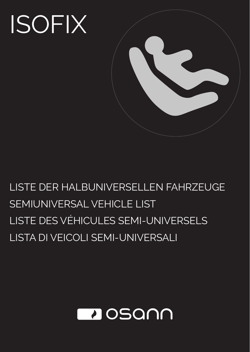# ISOFIX



# LISTE DER HALBUNIVERSELLEN FAHRZEUGE SEMIUNIVERSAL VEHICLE LIST LISTE DES VÉHICULES SEMI-UNIVERSELS LISTA DI VEICOLI SEMI-UNIVERSALI

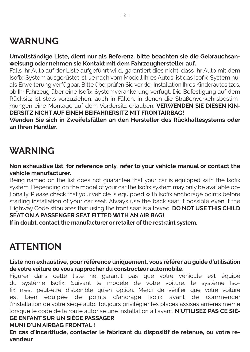# **WARNUNG**

**Unvollständige Liste, dient nur als Referenz, bitte beachten sie die Gebrauchsanweisung oder nehmen sie Kontakt mit dem Fahrzeughersteller auf.**

Falls Ihr Auto auf der Liste aufgeführt wird, garantiert dies nicht, dass Ihr Auto mit dem Isofix-System ausgerüstet ist. Je nach vom Modell Ihres Autos, ist das Isofix-System nur als Erweiterung verfügbar. Bitte überprüfen Sie vor der Installation Ihres Kinderautositzes, ob Ihr Fahrzeug über eine Isofix-Systemverankerung verfügt. Die Befestigung auf dem Rücksitz ist stets vorzuziehen, auch in Fällen, in denen die Straßenverkehrsbestimmungen eine Montage auf dem Vordersitz erlauben. **VERWENDEN SIE DIESEN KIN-DERSITZ NICHT AUF EINEM BEIFAHRERSITZ MIT FRONTAIRBAG!**

**Wenden Sie sich in Zweifelsfällen an den Hersteller des Rückhaltesystems oder an Ihren Händler.**

# **WARNING**

**Non exhaustive list, for reference only, refer to your vehicle manual or contact the vehicle manufacturer.**

Being named on the list does not guarantee that your car is equipped with the Isofix system. Depending on the model of your car the Isofix system may only be available optionally. Please check that your vehicle is equipped with Isofix anchorage points before starting installation of your car seat. Always use the back seat if possible even if the Highway Code stipulates that using the front seat is allowed. **DO NOT USE THIS CHILD SEAT ON A PASSENGER SEAT FITTED WITH AN AIR BAG!**

**If in doubt, contact the manufacturer or retailer of the restraint system.**

# **ATTENTION**

**Liste non exhaustive, pour référence uniquement, vous référer au guide d'utilisation de votre voiture ou vous rapprocher du constructeur automobile.**

Figurer dans cette liste ne garantit pas que votre véhicule est équipé du système Isofix. Suivant le modèle de votre voiture, le système Isofix n'est peut-être disponible qu'en option. Merci de vérifier que votre voiture est bien équipée de points d'ancrage Isofix avant de commencer l'installation de votre siège auto. Toujours privilégier les places assises arrières même lorsque le code de la route autorise une installation à l'avant. **N'UTILISEZ PAS CE SIÈ-GE ENFANT SUR UN SIÈGE PASSAGER**

#### **MUNI D'UN AIRBAG FRONTAL !**

**En cas d'incertitude, contacter le fabricant du dispositif de retenue, ou votre revendeur**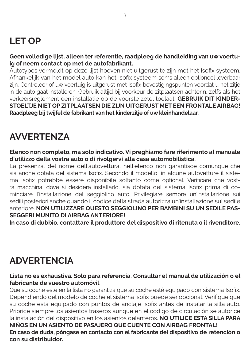# **LET OP**

#### **Geen volledige lijst, alleen ter referentie, raadpleeg de handleiding van uw voertuig of neem contact op met de autofabrikant.**

Autotypes vermeldt op deze lijst hoeven niet uitgerust te zijn met het Isofix systeem. Afhankelijk van het model auto kan het Isofix systeem soms alleen optioneel leverbaar zijn. Controleer of uw voertuig is uitgerust met Isofix bevestigingspunten voordat u het zitje in de auto gaat installeren. Gebruik altijd bij voorkeur de zitplaatsen achterin, zelfs als het verkeersreglement een installatie op de voorste zetel toelaat. **GEBRUIK DIT KINDER-STOELTJE NIET OP ZITPLAATSEN DIE ZIJN UITGERUST MET EEN FRONTALE AIRBAG! Raadpleeg bij twijfel de fabrikant van het kinderzitje of uw kleinhandelaar.**

# **AVVERTENZA**

**Elenco non completo, ma solo indicativo. Vi preghiamo fare riferimento al manuale d'utilizzo della vostra auto o di rivolgervi alla casa automobilistica.**

La presenza, del nome dell'autovettura, nell'elenco non garantisce comunque che sia anche dotata del sistema Isofix. Secondo il modello, in alcune autovetture il sistema Isofix potrebbe essere disponibile soltanto come optional. Verificare che vostra macchina, dove si desidera installarlo, sia dotata del sistema Isofix prima di cominciare l'installazione del seggiolino auto. Privilegiare sempre un'installazione sui sedili posteriori anche quando il codice della strada autorizza un'installazione sul sedile anteriore. **NON UTILIZZARE QUESTO SEGGIOLINO PER BAMBINI SU UN SEDILE PAS-SEGGERI MUNITO DI AIRBAG ANTERIORE!**

**In caso di dubbio, contattare il produttore del dispositivo di ritenuta o il rivenditore.**

# **ADVERTENCIA**

#### **Lista no es exhaustiva. Solo para referencia. Consultar el manual de utilización o el fabricante de vuestro automóvil.**

Que su coche esté en la lista no garantiza que su coche esté equipado con sistema Isofix. Dependiendo del modelo de coche el sistema Isofix puede ser opcional. Verifique que su coche está equipado con puntos de anclaje Isofix antes de instalar la silla auto. Priorice siempre los asientos traseros aunque en el código de circulación se autorice la instalación del dispositivo en los asientos delanteros. **NO UTILICE ESTA SILLA PARA NIÑOS EN UN ASIENTO DE PASAJERO QUE CUENTE CON AIRBAG FRONTAL! En caso de duda, póngase en contacto con el fabricante del dispositivo de retención o con su distribuidor.**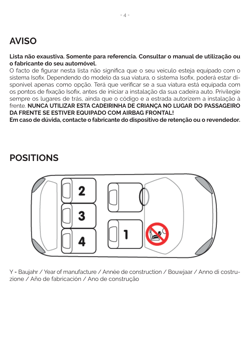# **AVISO**

#### **Lista não exaustiva. Somente para referencia. Consultar o manual de utilização ou o fabricante do seu automóvel.**

O facto de figurar nesta lista não significa que o seu veiculo esteja equipado com o sistema Isofix. Dependendo do modelo da sua viatura, o sistema Isofix, poderá estar disponivel apenas como opção. Terá que verificar se a sua viatura está equipada com os pontos de fixação Isofix, antes de iniciar a instalação da sua cadeira auto. Privilegie sempre os lugares de trás, ainda que o código e a estrada autorizem a instalação à frente. **NUNCA UTILIZAR ESTA CADEIRINHA DE CRIANÇA NO LUGAR DO PASSAGEIRO DA FRENTE SE ESTIVER EQUIPADO COM AIRBAG FRONTAL!**

**Em caso de dúvida, contacte o fabricante do dispositivo de retenção ou o revendedor.**

## **POSITIONS**



Y = Baujahr / Year of manufacture / Année de construction / Bouwjaar / Anno di costruzione / Año de fabricación / Ano de construção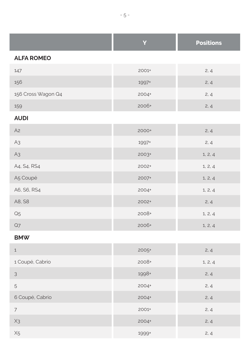|                    | Y       | <b>Positions</b> |
|--------------------|---------|------------------|
| <b>ALFA ROMEO</b>  |         |                  |
| 147                | 2001+   | 2, 4             |
| 156                | 1997+   | 2, 4             |
| 156 Cross Wagon Q4 | 2004+   | 2, 4             |
| 159                | 2006+   | 2, 4             |
| <b>AUDI</b>        |         |                  |
| A <sub>2</sub>     | 2000+   | 2, 4             |
| A <sub>3</sub>     | 1997+   | 2, 4             |
| A3                 | $2003+$ | 1, 2, 4          |
| A4, S4, RS4        | 2002+   | 1, 2, 4          |
| A5 Coupé           | 2007+   | 1, 2, 4          |
| A6, S6, RS4        | 2004+   | 1, 2, 4          |
| A8, S8             | 2002+   | 2, 4             |
| Q <sub>5</sub>     | 2008+   | 1, 2, 4          |
| $\mathsf{Q}7$      | 2006+   | 1, 2, 4          |
| <b>BMW</b>         |         |                  |

| $\mathbf{1}$    | 2005+   | 2, 4    |
|-----------------|---------|---------|
| 1 Coupé, Cabrio | 2008+   | 1, 2, 4 |
| 3               | 1998+   | 2, 4    |
| 5               | $2004+$ | 2, 4    |
| 6 Coupé, Cabrio | 2004+   | 2, 4    |
| $\overline{7}$  | 2001+   | 2, 4    |
| $X_3$           | 2004+   | 2, 4    |
| X <sub>5</sub>  | 1999+   | 2, 4    |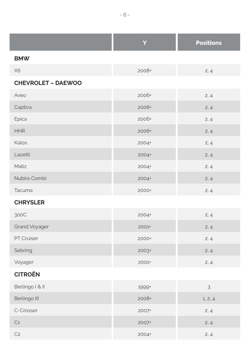|                           | Y     | <b>Positions</b> |
|---------------------------|-------|------------------|
| <b>BMW</b>                |       |                  |
| X6                        | 2008+ | 2, 4             |
| <b>CHEVROLET - DAEWOO</b> |       |                  |
| Aveo                      | 2006+ | 2, 4             |
| Captiva                   | 2006+ | 2, 4             |
| Epica                     | 2006+ | 2, 4             |
| <b>HHR</b>                | 2006+ | 2, 4             |
| Kalos                     | 2004+ | 2, 4             |
| Lacetti                   | 2004+ | 2, 4             |
| Matiz                     | 2004+ | 2, 4             |
| Nubira Combi              | 2004+ | 2, 4             |
| Tacuma                    | 2000+ | 2, 4             |
| <b>CHRYSLER</b>           |       |                  |
| 300C                      | 2004+ | 2, 4             |
| <b>Grand Voyager</b>      | 2001+ | 2, 4             |
| PT Cruiser                | 2000+ | 2, 4             |
| Sebring                   | 2003+ | 2, 4             |
| Voyager                   | 2001+ | 2, 4             |
| <b>CITROËN</b>            |       |                  |
| Berlingo I & II           | 1999+ | 3                |
| Berlingo III              | 2008+ | 1, 2, 4          |
| C-Crosser                 | 2007+ | 2, 4             |
| C <sub>1</sub>            | 2007+ | 2, 4             |
| C <sub>2</sub>            | 2004+ | 2, 4             |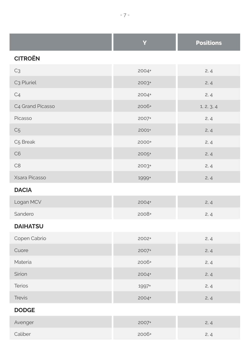|                        | Y       | <b>Positions</b> |
|------------------------|---------|------------------|
| <b>CITROËN</b>         |         |                  |
| C <sub>3</sub>         | 2004+   | 2, 4             |
| C <sub>3</sub> Pluriel | $2003+$ | 2, 4             |
| C <sub>4</sub>         | 2004+   | 2, 4             |
| C4 Grand Picasso       | 2006+   | 1, 2, 3, 4       |
| Picasso                | 2007+   | 2, 4             |
| C <sub>5</sub>         | 2001+   | 2, 4             |
| C5 Break               | 2000+   | 2, 4             |
| C6                     | 2005+   | 2, 4             |
| C8                     | $2003+$ | 2, 4             |
| Xsara Picasso          | 1999+   | 2, 4             |
| <b>DACIA</b>           |         |                  |
| Logan MCV              | 2004+   | 2, 4             |
| Sandero                | 2008+   | 2, 4             |
| <b>DAIHATSU</b>        |         |                  |
| Copen Cabrio           | 2002+   | 2, 4             |
| Cuore                  | 2007+   | 2, 4             |
| Materia                | 2006+   | 2, 4             |
| Sirion                 | 2004+   | 2, 4             |
| Terios                 | 1997+   | 2, 4             |
| <b>Trevis</b>          | 2004+   | 2, 4             |
| <b>DODGE</b>           |         |                  |
|                        |         |                  |

| Avenger | 2007+ | 2, 4 |
|---------|-------|------|
| Caliber | 2006+ | 2, 4 |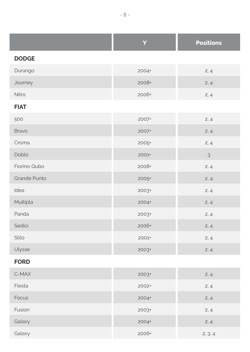|              | Ÿ     | <b>Positions</b> |
|--------------|-------|------------------|
| <b>DODGE</b> |       |                  |
| Durango      | 2004+ | 2, 4             |
| Journey      | 2008+ | 2, 4             |
| Nitro        | 2006+ | 2, 4             |
| <b>FIAT</b>  |       |                  |
| 500          | 2007+ | 2, 4             |
| Bravo        | 2007+ | 2, 4             |
| Croma        | 2005+ | 2, 4             |
| Doblò        | 2001+ | $\mathfrak{Z}$   |
| Fiorino Qubo | 2008+ | 2, 4             |
| Grande Punto | 2005+ | 2, 4             |
| Idea         | 2003+ | 2, 4             |
| Multipla     | 2004+ | 2, 4             |
| Panda        | 2003+ | 2, 4             |
| Sedici       | 2006+ | 2, 4             |
|              |       |                  |

Stilo 2001+ 2, 4

#### **FORD**

| C-MAX        | $2003+$ | 2, 4    |
|--------------|---------|---------|
| Fiesta       | 2002+   | 2, 4    |
| <b>Focus</b> | 2004+   | 2, 4    |
| Fusion       | $2003+$ | 2, 4    |
| Galaxy       | 2004+   | 2, 4    |
| Galaxy       | 2006+   | 2, 3, 4 |

Ulysse 2003+ 2, 4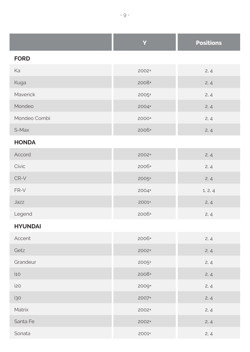|                | Y       | <b>Positions</b> |
|----------------|---------|------------------|
| <b>FORD</b>    |         |                  |
| Ka             | 2002+   | 2, 4             |
| Kuga           | 2008+   | 2, 4             |
| Maverick       | 2005+   | 2, 4             |
| Mondeo         | 2004+   | 2, 4             |
| Mondeo Combi   | 2000+   | 2, 4             |
| S-Max          | 2006+   | 2, 4             |
| <b>HONDA</b>   |         |                  |
| Accord         | 2002+   | 2, 4             |
| Civic          | 2006+   | 2, 4             |
| CR-V           | $2005+$ | 2, 4             |
| FR-V           | 2004+   | 1, 2, 4          |
| Jazz           | 2001+   | 2, 4             |
| Legend         | 2006+   | 2, 4             |
| <b>HYUNDAI</b> |         |                  |
| Accent         | 2006+   | 2, 4             |
| Getz           | 2002+   | 2, 4             |
| Grandeur       | $2005+$ | 2, 4             |
| i10            | 2008+   | 2, 4             |
| i20            | 2009+   | 2, 4             |
| i30            | 2007+   | 2, 4             |
| Matrix         | 2002+   | 2, 4             |
| Santa Fe       | 2002+   | 2, 4             |
| Sonata         | 2001+   | 2, 4             |

and the control

and the company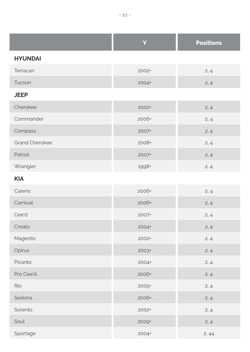|                       | Y       | <b>Positions</b> |
|-----------------------|---------|------------------|
| <b>HYUNDAI</b>        |         |                  |
| Terracan              | 2002+   | 2, 4             |
| Tucson                | 2004+   | 2, 4             |
| <b>JEEP</b>           |         |                  |
| Cherokee              | $2002+$ | 2, 4             |
| Commander             | 2006+   | 2, 4             |
| Compass               | 2007+   | 2, 4             |
| <b>Grand Cherokee</b> | 2008+   | 2, 4             |
| Patriot               | 2007+   | 2, 4             |
| Wrangler              | 1998+   | 2, 4             |
| <b>KIA</b>            |         |                  |
| Carens                | 2006+   | 2, 4             |
| Carnival              | 2006+   | 2, 4             |
| Cee'd                 | 2007+   | 2, 4             |
| Creato                | 2004+   | 2, 4             |
| Magentis              | 2002+   | 2, 4             |
| Opirus                | 2003+   | 2, 4             |
| Picanto               | 2004+   | 2, 4             |
| Pro Cee'd             | 2006+   | 2, 4             |
| Rio                   | 2005+   | 2, 4             |
| Sedona                | 2006+   | 2, 4             |
| Sorento               | 2002+   | 2, 4             |
| Soul                  | 2009+   | 2, 4             |
| Sportage              | 2004+   | 2,44             |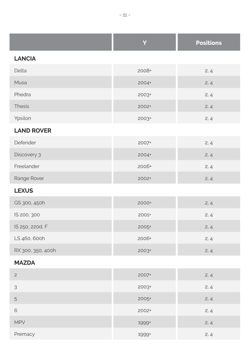|                   | Y       | <b>Positions</b> |
|-------------------|---------|------------------|
| <b>LANCIA</b>     |         |                  |
| Delta             | 2008+   | 2, 4             |
| Musa              | 2004+   | 2, 4             |
| Phedra            | 2003+   | 2, 4             |
| <b>Thesis</b>     | 2002+   | 2, 4             |
| Ypsilon           | $2003+$ | 2, 4             |
| <b>LAND ROVER</b> |         |                  |
| Defender          | 2007+   | 2, 4             |
| Discovery 3       | 2004+   | 2, 4             |
| Freelander        | 2006+   | 2, 4             |
| Range Rover       | 2002+   | 2, 4             |
| <b>LEXUS</b>      |         |                  |
| GS 300, 450h      | 2000+   | 2, 4             |
| IS 200, 300       | 2001+   | 2, 4             |
| IS 250, 220d, F   | 2005+   | 2, 4             |
| LS 460, 600h      | 2006+   | 2, 4             |
| RX 300, 350, 400h | 2003+   | 2, 4             |
| <b>MAZDA</b>      |         |                  |
| $\overline{c}$    | 2007+   | 2, 4             |
| 3                 | 2003+   | 2, 4             |
| 5                 | 2005+   | 2, 4             |
| 6                 | 2002+   | 2, 4             |
| <b>MPV</b>        | 1999+   | 2, 4             |
| Premacy           | 1999+   | 2, 4             |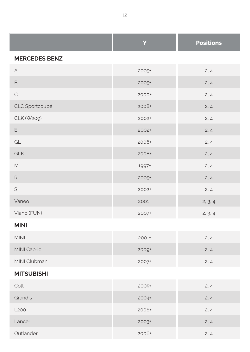|                      | Y     | <b>Positions</b> |
|----------------------|-------|------------------|
| <b>MERCEDES BENZ</b> |       |                  |
| А                    | 2005+ | 2, 4             |
| B                    | 2005+ | 2, 4             |
| $\mathsf C$          | 2000+ | 2, 4             |
| CLC Sportcoupé       | 2008+ | 2, 4             |
| CLK (W209)           | 2002+ | 2, 4             |
| E                    | 2002+ | 2, 4             |
| GL                   | 2006+ | 2, 4             |
| GLK                  | 2008+ | 2, 4             |
| M                    | 1997+ | 2, 4             |
| $\mathsf{R}$         | 2005+ | 2, 4             |
| S                    | 2002+ | 2, 4             |
| Vaneo                | 2001+ | 2, 3, 4          |
| Viano (FUN)          | 2007+ | 2, 3, 4          |
| <b>MINI</b>          |       |                  |
| <b>MINI</b>          | 2001+ | 2, 4             |
| MINI Cabrio          | 2009+ | 2, 4             |
| MINI Clubman         | 2007+ | 2, 4             |
| <b>MITSUBISHI</b>    |       |                  |
| Colt                 | 2005+ | 2, 4             |
| Grandis              | 2004+ | 2, 4             |
| L <sub>200</sub>     | 2006+ | 2, 4             |
|                      |       |                  |

 $L$ ancer 2003+ 2, 4 Outlander 2006+ 2, 4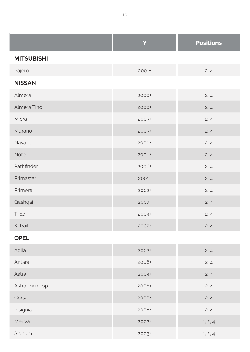|                   | Ÿ       | <b>Positions</b> |
|-------------------|---------|------------------|
| <b>MITSUBISHI</b> |         |                  |
| Pajero            | 2001+   | 2, 4             |
| <b>NISSAN</b>     |         |                  |
| Almera            | 2000+   | 2, 4             |
| Almera Tino       | 2000+   | 2, 4             |
| Micra             | $2003+$ | 2, 4             |
| Murano            | $2003+$ | 2, 4             |
| Navara            | 2006+   | 2, 4             |
| Note              | 2006+   | 2, 4             |
| Pathfinder        | 2006+   | 2, 4             |
| Primastar         | 2001+   | 2, 4             |
| Primera           | 2002+   | 2, 4             |
| Qashqai           | 2007+   | 2, 4             |
| Tiida             | 2004+   | 2, 4             |
| X-Trail           | 2002+   | 2, 4             |
| <b>OPEL</b>       |         |                  |
| Aglia             | 2002+   | 2, 4             |
| Antara            | 2006+   | 2, 4             |
| Astra             | 2004+   | 2, 4             |
| Astra Twin Top    | 2006+   | 2, 4             |

Signum 2003+ 1, 2, 4

Corsa 2000+ 2, 4

Insignia 2008+ 2, 4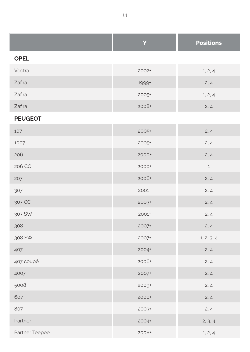|                | Y       | <b>Positions</b> |
|----------------|---------|------------------|
| <b>OPEL</b>    |         |                  |
| Vectra         | 2002+   | 1, 2, 4          |
| Zafira         | 1999+   | 2, 4             |
| Zafira         | 2005+   | 1, 2, 4          |
| Zafira         | 2008+   | 2, 4             |
| <b>PEUGEOT</b> |         |                  |
| 107            | $2005+$ | 2, 4             |
| 1007           | $2005+$ | 2, 4             |
| 206            | 2000+   | 2, 4             |
| 206 CC         | 2000+   | $1\,$            |
| 207            | 2006+   | 2, 4             |
| 307            | 2001+   | 2, 4             |
| 307 CC         | 2003+   | 2, 4             |
| 307 SW         | 2001+   | 2, 4             |
| 308            | 2007+   | 2, 4             |
| 308 SW         | 2007+   | 1, 2, 3, 4       |
| 407            | 2004+   | 2, 4             |
| 407 coupé      | 2006+   | 2, 4             |
| 4007           | 2007+   | 2, 4             |
| 5008           | 2009+   | 2, 4             |
| 607            | 2000+   | 2, 4             |
| 807            | 2003+   | 2, 4             |
| Partner        | 2004+   | 2, 3, 4          |
| Partner Teepee | 2008+   | 1, 2, 4          |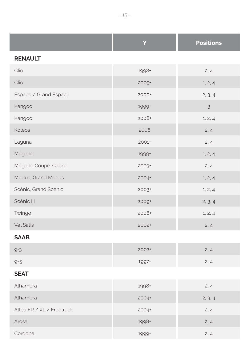|                           | Y       | <b>Positions</b> |
|---------------------------|---------|------------------|
| <b>RENAULT</b>            |         |                  |
| Clio                      | 1998+   | 2, 4             |
| Clio                      | 2005+   | 1, 2, 4          |
| Espace / Grand Espace     | 2000+   | 2, 3, 4          |
| Kangoo                    | 1999+   | $\mathfrak{Z}$   |
| Kangoo                    | 2008+   | 1, 2, 4          |
| Koleos                    | 2008    | 2, 4             |
| Laguna                    | 2001+   | 2, 4             |
| Mégane                    | 1999+   | 1, 2, 4          |
| Mégane Coupé-Cabrio       | 2003+   | 2, 4             |
| Modus, Grand Modus        | 2004+   | 1, 2, 4          |
| Scénic, Grand Scénic      | $2003+$ | 1, 2, 4          |
| Scénic III                | 2009+   | 2, 3, 4          |
| Twingo                    | 2008+   | 1, 2, 4          |
| <b>Vel Satis</b>          | $2002+$ | 2, 4             |
| <b>SAAB</b>               |         |                  |
| $9 - 3$                   | 2002+   | 2, 4             |
| $9 - 5$                   | 1997+   | 2, 4             |
| <b>SEAT</b>               |         |                  |
| Alhambra                  | 1998+   | 2, 4             |
| Alhambra                  | 2004+   | 2, 3, 4          |
| Altea FR / XL / Freetrack | 2004+   | 2, 4             |
| Arosa                     | 1998+   | 2, 4             |
| Cordoba                   | 1999+   | 2, 4             |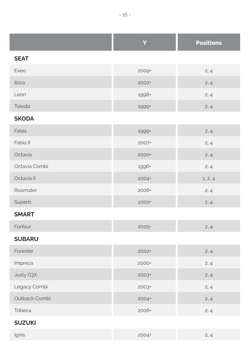|               | Ÿ       | <b>Positions</b> |
|---------------|---------|------------------|
| <b>SEAT</b>   |         |                  |
| Exeo          | 2009+   | 2, 4             |
| Ibiza         | 2002+   | 2, 4             |
| Leon          | 1998+   | 2, 4             |
| Toledo        | 1999+   | 2, 4             |
| <b>SKODA</b>  |         |                  |
| Fabia         | 1999+   | 2, 4             |
| Fabia II      | 2007+   | 2, 4             |
| Octavia       | 2000+   | 2, 4             |
| Octavia Combi | 1996+   | 2, 4             |
| Octavia II    | 2004+   | 1, 2, 4          |
| Roomster      | 2006+   | 2, 4             |
| Superb        | 2001+   | 2, 4             |
| <b>SMART</b>  |         |                  |
| Forfour       | 2005+   | 2, 4             |
| <b>SUBARU</b> |         |                  |
| Forester      | $2002+$ | 2, 4             |
| Impreza       | 2000+   | 2, 4             |
| Justy G3X     | 2003+   | 2, 4             |
| Legacy Combi  | $2003+$ | 2, 4             |
| Outback Combi | 2004+   | 2, 4             |
| Tribeca       | 2006+   | 2, 4             |

### **SUZUKI**

| Ignis | $2004+$ | $\overline{\phantom{0}}$<br>2.4 |
|-------|---------|---------------------------------|
|-------|---------|---------------------------------|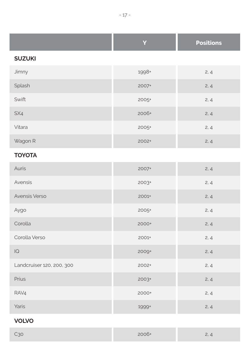|               | Y       | <b>Positions</b> |
|---------------|---------|------------------|
| <b>SUZUKI</b> |         |                  |
| Jimny         | 1998+   | 2, 4             |
| Splash        | $2007+$ | 2, 4             |
| Swift         | $2005+$ | 2, 4             |
| SX4           | 2006+   | 2, 4             |
| Vitara        | 2005+   | 2, 4             |
| Wagon R       | 2002+   | 2, 4             |

### **TOYOTA**

| Auris                     | 2007+   | 2, 4 |
|---------------------------|---------|------|
| Avensis                   | 2003+   | 2, 4 |
| Avensis Verso             | 2001+   | 2, 4 |
| Aygo                      | 2005+   | 2, 4 |
| Corolla                   | 2000+   | 2, 4 |
| Corolla Verso             | 2001+   | 2, 4 |
| $\overline{Q}$            | 2009+   | 2, 4 |
| Landcruiser 120, 200, 300 | 2002+   | 2, 4 |
| Prius                     | $2003+$ | 2, 4 |
| RAV4                      | 2000+   | 2, 4 |
| Yaris                     | 1999+   | 2, 4 |

#### **VOLVO**

| C <sub>30</sub> | 2006+ | $\sim$<br>$\Lambda$<br>$\leq$ |
|-----------------|-------|-------------------------------|
|-----------------|-------|-------------------------------|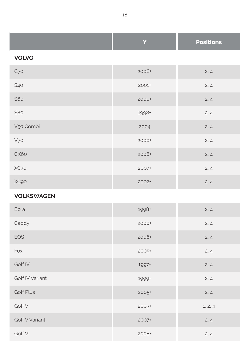|              | Y     | <b>Positions</b> |
|--------------|-------|------------------|
| <b>VOLVO</b> |       |                  |
| C70          | 2006+ | 2, 4             |
| S40          | 2001+ | 2, 4             |
| <b>S60</b>   | 2000+ | 2, 4             |
| S80          | 1998+ | 2, 4             |
| V50 Combi    | 2004  | 2, 4             |
| V70          | 2000+ | 2, 4             |
| CX60         | 2008+ | 2, 4             |
| XC70         | 2007+ | 2, 4             |
| XC90         | 2002+ | 2, 4             |

#### **VOLKSWAGEN**

| Bora             | 1998+   | 2, 4    |
|------------------|---------|---------|
| Caddy            | 2000+   | 2, 4    |
| <b>EOS</b>       | 2006+   | 2, 4    |
| Fox              | 2005+   | 2, 4    |
| Golf IV          | 1997+   | 2, 4    |
| Golf IV Variant  | 1999+   | 2, 4    |
| <b>Golf Plus</b> | $2005+$ | 2, 4    |
| Golf V           | 2003+   | 1, 2, 4 |
| Golf V Variant   | 2007+   | 2, 4    |
| Golf VI          | 2008+   | 2, 4    |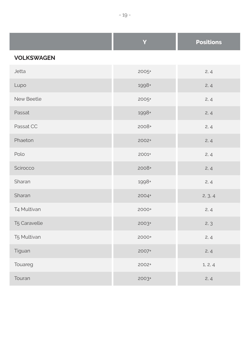|                   | Ÿ     | <b>Positions</b> |
|-------------------|-------|------------------|
| <b>VOLKSWAGEN</b> |       |                  |
| Jetta             | 2005+ | 2, 4             |
| Lupo              | 1998+ | 2, 4             |
| New Beetle        | 2005+ | 2, 4             |
| Passat            | 1998+ | 2, 4             |
| Passat CC         | 2008+ | 2, 4             |
| Phaeton           | 2002+ | 2, 4             |
| Polo              | 2001+ | 2, 4             |
| Scirocco          | 2008+ | 2, 4             |
| Sharan            | 1998+ | 2, 4             |
| Sharan            | 2004+ | 2, 3, 4          |
| T4 Multivan       | 2000+ | 2, 4             |
| T5 Caravelle      | 2003+ | 2, 3             |
| T5 Multivan       | 2000+ | 2, 4             |
| Tiguan            | 2007+ | 2, 4             |
| Touareg           | 2002+ | 1, 2, 4          |
| Touran            | 2003+ | 2, 4             |